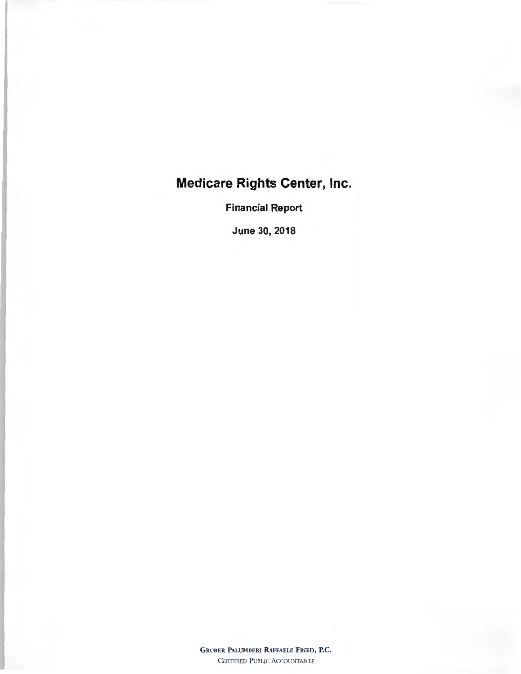**Financial Report** 

**June** 30, **2018** 

GRUBER PALUMBERI RAFFAELE FRIED, P.C. CERTIFIED PUBLIC ACCOUNTANTS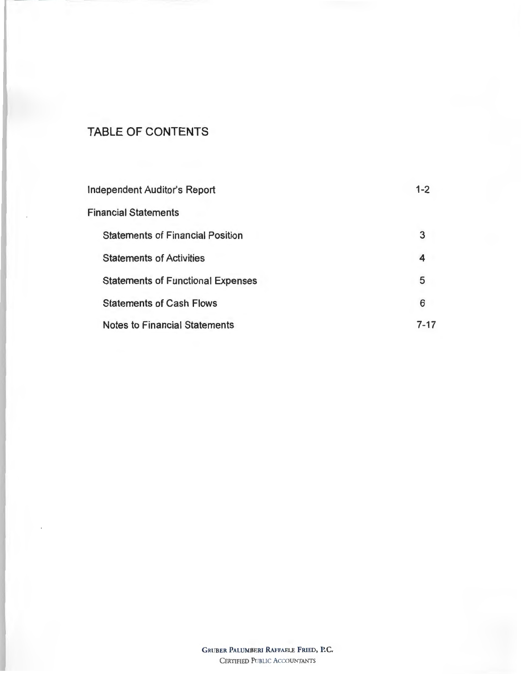# TABLE OF CONTENTS

| <b>Financial Statements</b><br>3<br><b>Statements of Financial Position</b><br><b>Statements of Activities</b><br>4<br>5<br><b>Statements of Functional Expenses</b><br>6<br><b>Statements of Cash Flows</b><br><b>Notes to Financial Statements</b> | Independent Auditor's Report | $1 - 2$ |
|------------------------------------------------------------------------------------------------------------------------------------------------------------------------------------------------------------------------------------------------------|------------------------------|---------|
|                                                                                                                                                                                                                                                      |                              |         |
|                                                                                                                                                                                                                                                      |                              |         |
|                                                                                                                                                                                                                                                      |                              |         |
|                                                                                                                                                                                                                                                      |                              |         |
|                                                                                                                                                                                                                                                      |                              |         |
|                                                                                                                                                                                                                                                      |                              | 7-17    |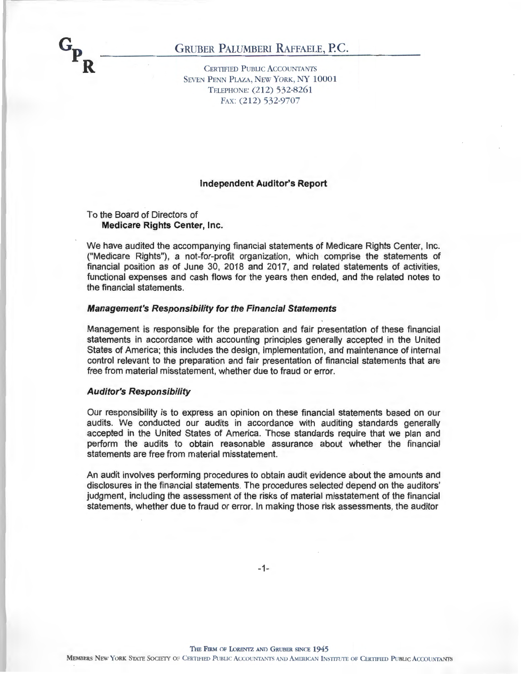# GRUBER PALUMBERI RAFFAELE, PC.

CERTIFIED PUBLIC ACCOUNTANTS SEVEN PENN PLAZA, NEW YORK, NY 10001 TELEPHONE: (212) 532-8261 FAX: (212) 532-9707

#### **Independent Auditor's Report**

### To the Board of Directors of **Medicare Rights Center, Inc.**

We have audited the accompanying financial statements of Medicare Rights Center, Inc. ("Medicare Rights"), a not-for-profit organization, which comprise the statements of financial position as of June 30, 2018 and 2017, and related statements of activities, functional expenses and cash flows for the years then ended, and the related notes to the financial statements.

#### **Management's Responsibility for the Financial Statements**

Management is responsible for the preparation and fair presentation of these financial statements in accordance with accounting principles generally accepted in the United States of America; this includes the design, implementation, and maintenance of internal control relevant to the preparation and fair presentation of financial statements that are free from material misstatement, whether due to fraud or error.

#### **Auditor's Responsibility**

Our responsibility is to express an opinion on these financial statements based on our audits. We conducted our audits in accordance with auditing standards generally accepted in the United States of America. Those standards require that we plan and perform the audits to obtain reasonable assurance about whether the financial statements are free from material misstatement.

An audit involves performing procedures to obtain audit evidence about the amounts and disclosures in the financial statements. The procedures selected depend on the auditors' judgment, including the assessment of the risks of material misstatement of the financial statements, whether due to fraud or error. In making those risk assessments, the auditor

-1-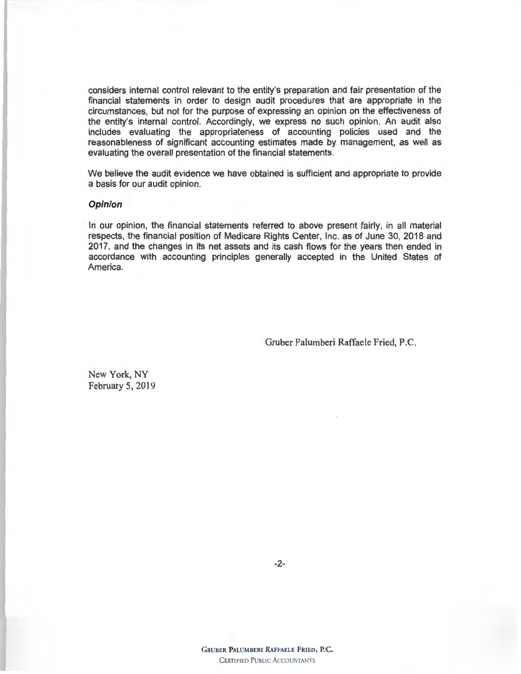considers internal control relevant to the entity's preparation and fair presentation of the financial statements in order to design audit procedures that are appropriate in the circumstances, but not for the purpose of expressing an opinion on the effectiveness of the entity's internal control. Accordingly, we express no such opinion. An audit also includes evaluating the appropriateness of accounting policies used and the reasonableness of significant accounting estimates made by management, as well as evaluating the overall presentation of the financial statements.

We believe the audit evidence we have obtained is sufficient and appropriate to provide a basis for our audit opinion.

#### **Opinion**

In our opinion, the financial statements referred to above present fairly, in all material respects, the financial position of Medicare Rights Center, Inc. as of June 30, 2018 and 2017, and the changes in its net assets and its cash flows for the years then ended in accordance with accounting principles generally accepted in the United States of America.

Gruber Palumberi Raffaele Fried, P.C.

New York, NY February 5, 2019

-2-

GRUBERI PALUMBERI RAFFAELE FRIED, P.IC. CERTFIED PUBLIC ACCOUNTANTS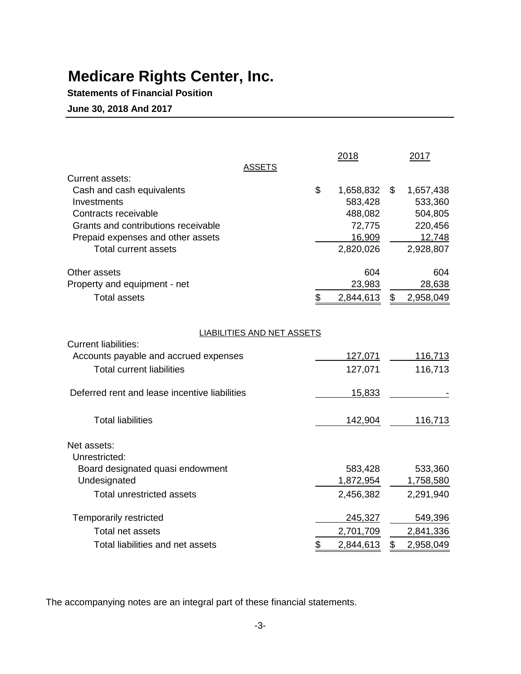**Statements of Financial Position**

**June 30, 2018 And 2017**

| <b>ASSETS</b>                                             | 2018            | 2017            |
|-----------------------------------------------------------|-----------------|-----------------|
| Current assets:                                           |                 |                 |
| Cash and cash equivalents                                 | \$<br>1,658,832 | \$<br>1,657,438 |
| Investments                                               | 583,428         | 533,360         |
| Contracts receivable                                      | 488,082         | 504,805         |
| Grants and contributions receivable                       | 72,775          | 220,456         |
| Prepaid expenses and other assets                         | 16,909          | 12,748          |
| Total current assets                                      | 2,820,026       | 2,928,807       |
| Other assets                                              | 604             | 604             |
| Property and equipment - net                              | 23,983          | 28,638          |
| <b>Total assets</b>                                       | \$<br>2,844,613 | \$<br>2,958,049 |
|                                                           |                 |                 |
| LIABILITIES AND NET ASSETS<br><b>Current liabilities:</b> |                 |                 |
| Accounts payable and accrued expenses                     | 127,071         | 116,713         |
|                                                           |                 |                 |
| <b>Total current liabilities</b>                          | 127,071         | 116,713         |
| Deferred rent and lease incentive liabilities             | 15,833          |                 |
| <b>Total liabilities</b>                                  | 142,904         | 116,713         |
|                                                           |                 |                 |
| Net assets:                                               |                 |                 |
| Unrestricted:                                             |                 |                 |
| Board designated quasi endowment<br>Undesignated          | 583,428         | 533,360         |
|                                                           | 1,872,954       | 1,758,580       |
| <b>Total unrestricted assets</b>                          | 2,456,382       | 2,291,940       |
| <b>Temporarily restricted</b>                             | 245,327         | 549,396         |
| Total net assets                                          | 2,701,709       | 2,841,336       |
| Total liabilities and net assets                          | \$<br>2,844,613 | \$<br>2,958,049 |

The accompanying notes are an integral part of these financial statements.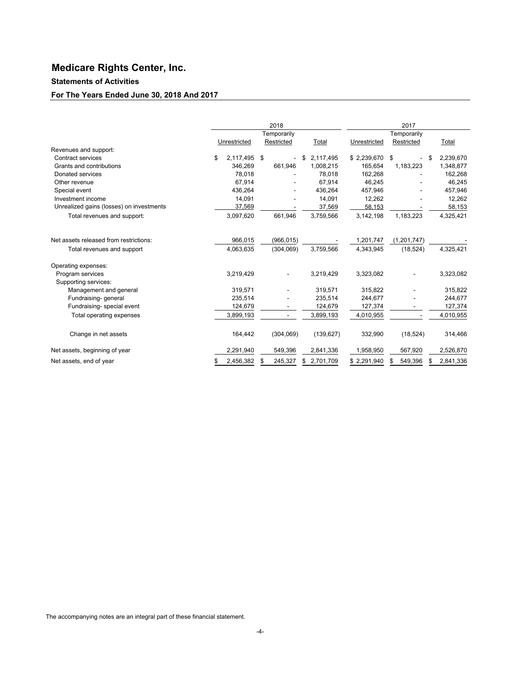# **Statements of Activities**

# **For The Years Ended June 30, 2018 And 2017**

|                                          | 2018 |              |  |             |    |            | 2017            |    |             |   |           |
|------------------------------------------|------|--------------|--|-------------|----|------------|-----------------|----|-------------|---|-----------|
|                                          |      |              |  | Temporarily |    |            |                 |    | Temporarily |   |           |
|                                          |      | Unrestricted |  | Restricted  |    | Total      | Unrestricted    |    | Restricted  |   | Total     |
| Revenues and support:                    |      |              |  |             |    |            |                 |    |             |   |           |
| Contract services                        | \$   | 2,117,495 \$ |  |             | S. | 2.117.495  | $$2,239,670$ \$ |    |             | S | 2,239,670 |
| Grants and contributions                 |      | 346,269      |  | 661.946     |    | 1,008,215  | 165,654         |    | 1,183,223   |   | 1,348,877 |
| Donated services                         |      | 78,018       |  |             |    | 78,018     | 162,268         |    |             |   | 162,268   |
| Other revenue                            |      | 67.914       |  |             |    | 67,914     | 46.245          |    |             |   | 46,245    |
| Special event                            |      | 436,264      |  |             |    | 436,264    | 457,946         |    |             |   | 457,946   |
| Investment income                        |      | 14,091       |  |             |    | 14,091     | 12,262          |    |             |   | 12,262    |
| Unrealized gains (losses) on investments |      | 37,569       |  |             |    | 37,569     | 58,153          |    |             |   | 58,153    |
| Total revenues and support:              |      | 3,097,620    |  | 661,946     |    | 3,759,566  | 3,142,198       |    | 1,183,223   |   | 4,325,421 |
| Net assets released from restrictions:   |      | 966,015      |  | (966, 015)  |    |            | 1,201,747       |    | (1,201,747) |   |           |
| Total revenues and support               |      | 4,063,635    |  | (304,069)   |    | 3,759,566  | 4,343,945       |    | (18, 524)   |   | 4,325,421 |
| Operating expenses:                      |      |              |  |             |    |            |                 |    |             |   |           |
| Program services                         |      | 3,219,429    |  |             |    | 3,219,429  | 3,323,082       |    |             |   | 3,323,082 |
| Supporting services:                     |      |              |  |             |    |            |                 |    |             |   |           |
| Management and general                   |      | 319.571      |  |             |    | 319,571    | 315,822         |    |             |   | 315,822   |
| Fundraising-general                      |      | 235.514      |  |             |    | 235,514    | 244,677         |    |             |   | 244,677   |
| Fundraising-special event                |      | 124,679      |  |             |    | 124,679    | 127,374         |    |             |   | 127,374   |
| Total operating expenses                 |      | 3,899,193    |  | ٠           |    | 3,899,193  | 4,010,955       |    |             |   | 4,010,955 |
| Change in net assets                     |      | 164,442      |  | (304,069)   |    | (139, 627) | 332,990         |    | (18, 524)   |   | 314,466   |
| Net assets, beginning of year            |      | 2,291,940    |  | 549,396     |    | 2,841,336  | 1,958,950       |    | 567,920     |   | 2,526,870 |
| Net assets, end of year                  |      | 2,456,382    |  | 245,327     | \$ | 2,701,709  | \$2,291,940     | \$ | 549,396     |   | 2,841,336 |

The accompanying notes are an integral part of these financial statement.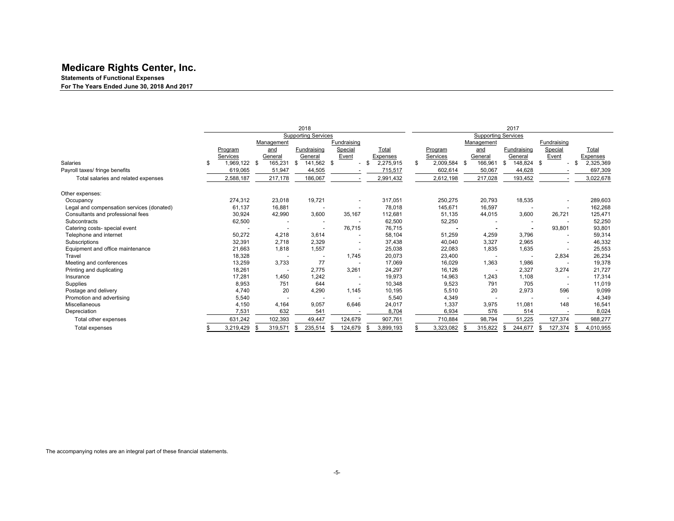#### **Statements of Functional Expenses For The Years Ended June 30, 2018 And 2017**

|                                           |   |              |            |     | 2018                       |                          |   |           |   |              |                            |     | 2017        |     |                          |      |           |
|-------------------------------------------|---|--------------|------------|-----|----------------------------|--------------------------|---|-----------|---|--------------|----------------------------|-----|-------------|-----|--------------------------|------|-----------|
|                                           |   |              |            |     | <b>Supporting Services</b> |                          |   |           |   |              | <b>Supporting Services</b> |     |             |     |                          |      |           |
|                                           |   |              | Management |     |                            | Fundraising              |   |           |   |              | Management                 |     |             |     | Fundraising              |      |           |
|                                           |   | Program      | and        |     | Fundraising                | Special                  |   | Total     |   | Program      | and                        |     | Fundraising |     | Special                  |      | Total     |
|                                           |   | Services     | General    |     | General                    | Event                    |   | Expenses  |   | Services     | General                    |     | General     |     | Event                    |      | Expenses  |
| Salaries                                  | S | 1,969,122 \$ | 165.231    | -\$ | 141.562 \$                 |                          | S | 2,275,915 | S | 2,009,584 \$ | 166.961                    | S   | 148.824 \$  |     |                          | - \$ | 2,325,369 |
| Payroll taxes/ fringe benefits            |   | 619,065      | 51,947     |     | 44,505                     |                          |   | 715,517   |   | 602,614      | 50,067                     |     | 44,628      |     |                          |      | 697,309   |
| Total salaries and related expenses       |   | 2,588,187    | 217,178    |     | 186,067                    |                          |   | 2,991,432 |   | 2,612,198    | 217,028                    |     | 193,452     |     |                          |      | 3,022,678 |
| Other expenses:                           |   |              |            |     |                            |                          |   |           |   |              |                            |     |             |     |                          |      |           |
| Occupancy                                 |   | 274,312      | 23.018     |     | 19,721                     | $\overline{\phantom{a}}$ |   | 317,051   |   | 250,275      | 20,793                     |     | 18,535      |     | $\tilde{\phantom{a}}$    |      | 289,603   |
| Legal and compensation services (donated) |   | 61,137       | 16,881     |     |                            | $\overline{\phantom{a}}$ |   | 78,018    |   | 145,671      | 16,597                     |     |             |     | $\tilde{\phantom{a}}$    |      | 162,268   |
| Consultants and professional fees         |   | 30,924       | 42,990     |     | 3,600                      | 35,167                   |   | 112,681   |   | 51,135       | 44,015                     |     | 3,600       |     | 26,721                   |      | 125,471   |
| Subcontracts                              |   | 62,500       |            |     |                            |                          |   | 62,500    |   | 52,250       |                            |     |             |     |                          |      | 52,250    |
| Catering costs-special event              |   |              |            |     |                            | 76,715                   |   | 76,715    |   |              |                            |     |             |     | 93,801                   |      | 93,801    |
| Telephone and internet                    |   | 50,272       | 4,218      |     | 3,614                      | $\overline{\phantom{a}}$ |   | 58,104    |   | 51,259       | 4,259                      |     | 3,796       |     | $\overline{\phantom{a}}$ |      | 59,314    |
| Subscriptions                             |   | 32,391       | 2.718      |     | 2.329                      | $\overline{\phantom{a}}$ |   | 37,438    |   | 40,040       | 3,327                      |     | 2.965       |     | $\tilde{\phantom{a}}$    |      | 46,332    |
| Equipment and office maintenance          |   | 21,663       | 1,818      |     | 1,557                      |                          |   | 25,038    |   | 22,083       | 1,835                      |     | 1,635       |     |                          |      | 25,553    |
| Travel                                    |   | 18,328       |            |     |                            | 1,745                    |   | 20,073    |   | 23,400       |                            |     |             |     | 2,834                    |      | 26,234    |
| Meeting and conferences                   |   | 13,259       | 3,733      |     | 77                         |                          |   | 17,069    |   | 16,029       | 1,363                      |     | 1,986       |     | $\overline{\phantom{a}}$ |      | 19,378    |
| Printing and duplicating                  |   | 18,261       |            |     | 2,775                      | 3,261                    |   | 24,297    |   | 16,126       |                            |     | 2,327       |     | 3,274                    |      | 21,727    |
| Insurance                                 |   | 17,281       | 1,450      |     | 1,242                      |                          |   | 19,973    |   | 14,963       | 1,243                      |     | 1,108       |     | $\overline{\phantom{a}}$ |      | 17,314    |
| Supplies                                  |   | 8,953        | 751        |     | 644                        |                          |   | 10,348    |   | 9,523        | 791                        |     | 705         |     | $\overline{\phantom{a}}$ |      | 11,019    |
| Postage and delivery                      |   | 4,740        | 20         |     | 4,290                      | 1,145                    |   | 10,195    |   | 5,510        | 20                         |     | 2,973       |     | 596                      |      | 9,099     |
| Promotion and advertising                 |   | 5,540        |            |     |                            |                          |   | 5,540     |   | 4,349        |                            |     |             |     | . .                      |      | 4,349     |
| Miscellaneous                             |   | 4,150        | 4,164      |     | 9,057                      | 6,646                    |   | 24,017    |   | 1,337        | 3,975                      |     | 11,081      |     | 148                      |      | 16,541    |
| Depreciation                              |   | 7,531        | 632        |     | 541                        |                          |   | 8,704     |   | 6,934        | 576                        |     | 514         |     |                          |      | 8,024     |
| Total other expenses                      |   | 631,242      | 102,393    |     | 49,447                     | 124,679                  |   | 907,761   |   | 710,884      | 98,794                     |     | 51,225      |     | 127,374                  |      | 988,277   |
| Total expenses                            |   | 3,219,429    | 319,571    |     | 235,514                    | 124,679                  | S | 3,899,193 |   | 3,323,082    | 315,822                    | \$. | 244,677     | \$. | 127,374                  |      | 4,010,955 |

The accompanying notes are an integral part of these financial statements.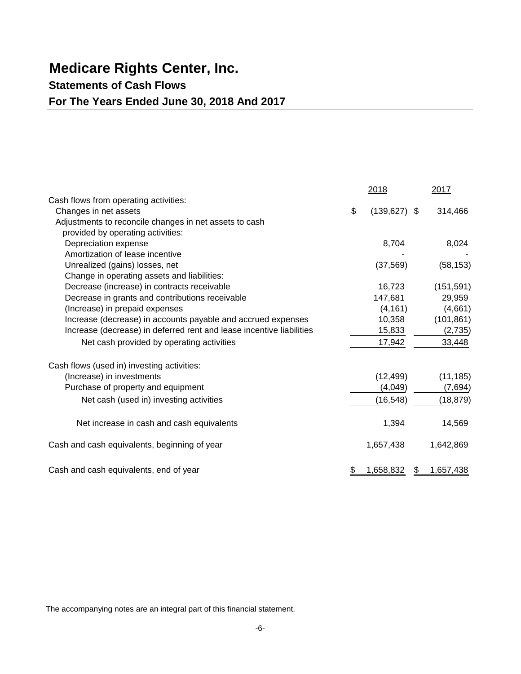# **Statements of Cash Flows**

# **For The Years Ended June 30, 2018 And 2017**

|                                                                      | 2018                  | 2017            |
|----------------------------------------------------------------------|-----------------------|-----------------|
| Cash flows from operating activities:                                |                       |                 |
| Changes in net assets                                                | \$<br>$(139, 627)$ \$ | 314,466         |
| Adjustments to reconcile changes in net assets to cash               |                       |                 |
| provided by operating activities:                                    |                       |                 |
| Depreciation expense                                                 | 8,704                 | 8,024           |
| Amortization of lease incentive                                      |                       |                 |
| Unrealized (gains) losses, net                                       | (37, 569)             | (58, 153)       |
| Change in operating assets and liabilities:                          |                       |                 |
| Decrease (increase) in contracts receivable                          | 16,723                | (151, 591)      |
| Decrease in grants and contributions receivable                      | 147,681               | 29,959          |
| (Increase) in prepaid expenses                                       | (4, 161)              | (4,661)         |
| Increase (decrease) in accounts payable and accrued expenses         | 10,358                | (101, 861)      |
| Increase (decrease) in deferred rent and lease incentive liabilities | 15,833                | (2,735)         |
| Net cash provided by operating activities                            | 17,942                | 33,448          |
| Cash flows (used in) investing activities:                           |                       |                 |
| (Increase) in investments                                            | (12, 499)             | (11, 185)       |
| Purchase of property and equipment                                   | (4,049)               | (7,694)         |
| Net cash (used in) investing activities                              | (16, 548)             | (18, 879)       |
| Net increase in cash and cash equivalents                            | 1,394                 | 14,569          |
| Cash and cash equivalents, beginning of year                         | 1,657,438             | 1,642,869       |
| Cash and cash equivalents, end of year                               | 1,658,832             | 1,657,438<br>\$ |

The accompanying notes are an integral part of this financial statement.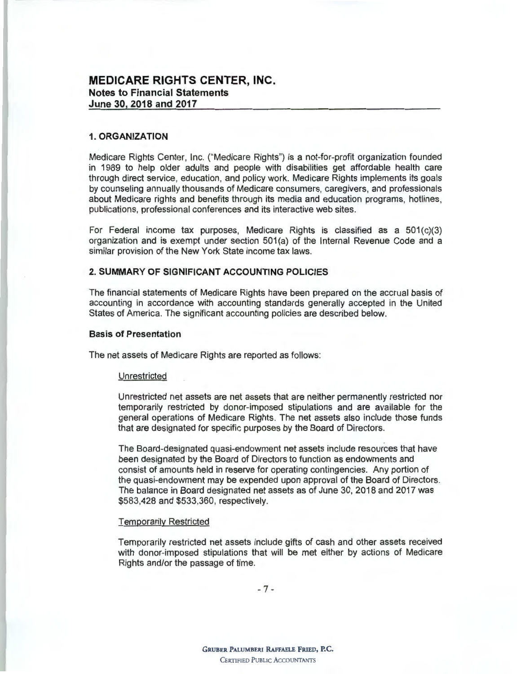# **MEDICARE RIGHTS CENTER, INC. Notes to Financial Statements June 30 2018 and 2017**

### **1. ORGANIZATION**

Medicare Rights Center, Inc. ("Medicare Rights") is a not-for-profit organization founded in 1989 to help older adults and people with disabilities get affordable health care through direct service, education, and policy work. Medicare Rights implements its goals by counseling annually thousands of Medicare consumers, caregivers, and professionals about Medicare rights and benefits through its media and education programs, hotlines, publications, professional conferences and its interactive web sites.

For Federal income tax purposes, Medicare Rights is classified as a  $501(c)(3)$ organization and is exempt under section 501 (a) of the Internal Revenue Code and a similar provision of the New York State income tax laws.

### **2. SUMMARY OF SIGNIFICANT ACCOUNTING POLICIES**

The financial statements of Medicare Rights have been prepared on the accrual basis of accounting in accordance with accounting standards generally accepted in the United States of America. The significant accounting policies are described below.

### **Sasis of Presentation**

The net assets of Medicare Rights are reported as follows:

#### Unrestricted

Unrestricted net assets are net assets that are neither permanently restricted nor temporarily restricted by donor-imposed stipulations and are available for the general operations of Medicare Rights. The net assets also include those funds that are designated for specific purposes by the Board of Directors.

The Board-designated quasi-endowment net assets include resources that have been designated by the Board of Directors to function as endowments and consist of amounts held in reserve for operating contingencies. Any portion of the quasi-endowment may be expended upon approval of the Board of Directors. The balance in Board designated net assets as of June 30, 2018 and 2017 was \$583,428 and \$533,360, respectively.

#### Temporarily Restricted

Temporarily restricted net assets include gifts of cash and other assets received with donor-imposed stipulations that will be met either by actions of Medicare Rights and/or the passage of time.

- 7-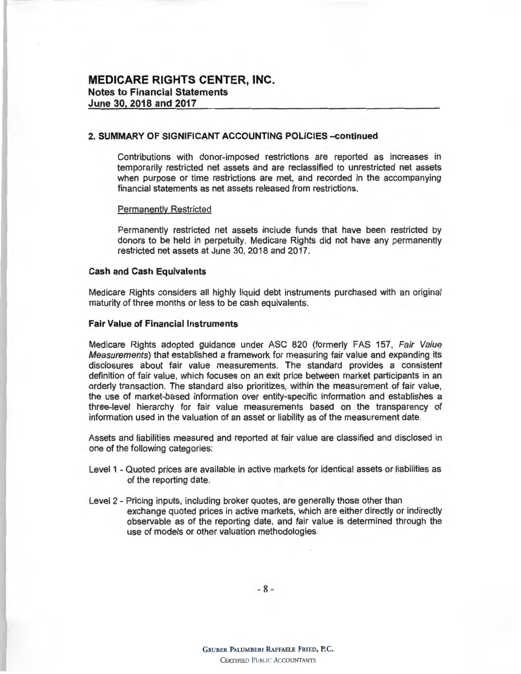# **MEDICARE RIGHTS CENTER, INC. Notes to Financial Statements June 30 2018 and 2017**

## **2. SUMMARY OF SIGNIFICANT ACCOUNTING POLICIES -continued**

Contributions with donor-imposed restrictions are reported as increases in temporarily restricted net assets and are reclassified to unrestricted net assets when purpose or time restrictions are met, and recorded in the accompanying financial statements as net assets released from restrictions.

#### Permanently Restricted

Permanently restricted net assets include funds that have been restricted by donors to be held in perpetuity. Medicare Rights did not have any permanently restricted net assets at June 30, 2018 and 2017.

#### **Cash and Cash Equivalents**

Medicare Rights considers all highly liquid debt instruments purchased with an original maturity of three months or less to be cash equivalents.

### **Fair Value of Financial Instruments**

Medicare Rights adopted guidance under ASC 820 (formerly FAS 157, Fair Value Measurements) that established a framework for measuring fair value and expanding its disclosures about fair value measurements. The standard provides a consistent definition of fair value, which focuses on an exit price between market participants in an orderly transaction. The standard also prioritizes, within the measurement of fair value, the use of market-based information over entity-specific information and establishes a three-level hierarchy for fair value measurements based on the transparency of information used in the valuation of an asset or liability as of the measurement date.

Assets and liabilities measured and reported at fair value are classified and disclosed in one of the following categories:

- Level 1 Quoted prices are available in active markets for identical assets or liabilities as of the reporting date.
- Level 2- Pricing inputs, including broker quotes, are generally those other than exchange quoted prices in active markets, which are either directly or indirectly observable as of the reporting date, and fair value is determined through the use of models or other valuation methodologies.

- 8-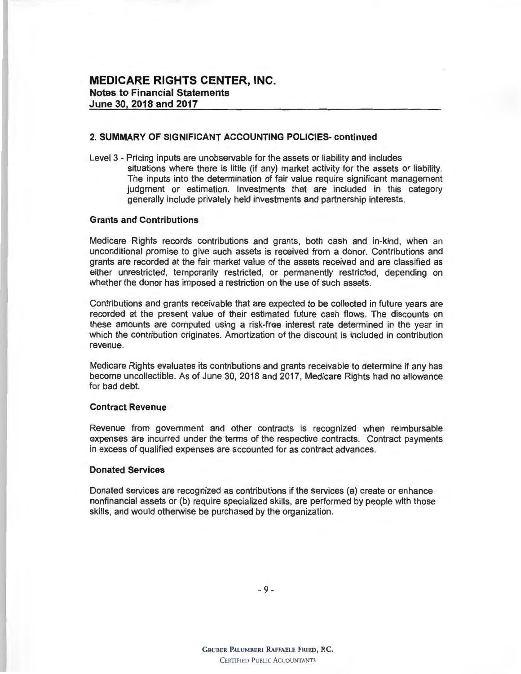# **MEDICARE RIGHTS CENTER, INC. Notes to Financial Statements June 30, 2018 and 2017**

### **2. SUMMARY OF SIGNIFICANT ACCOUNTING POLICIES- continued**

Level 3 - Pricing inputs are unobservable for the assets or liability and includes situations where there is little (if any) market activity for the assets or liability. The inputs into the determination of fair value require significant management judgment or estimation. Investments that are included in this category generally include privately held investments and partnership interests.

#### **Grants and Contributions**

Medicare Rights records contributions and grants, both cash and in-kind, when an unconditional promise to give such assets is received from a donor. Contributions and grants are recorded at the fair market value of the assets received and are classified as either unrestricted, temporarily restricted, or permanently restricted, depending on whether the donor has imposed a restriction on the use of such assets.

Contributions and grants receivable that are expected to be collected in future years are recorded at the present value of their estimated future cash flows. The discounts on these amounts are computed using a risk-free interest rate determined in the year in which the contribution originates. Amortization of the discount is included in contribution revenue.

Medicare Rights evaluates its contributions and grants receivable to determine if any has become uncollectible. As of June 30, 2018 and 2017, Medicare Rights had no allowance for bad debt.

### **Contract Revenue**

Revenue from government and other contracts is recognized when reimbursable expenses are incurred under the terms of the respective contracts. Contract payments in excess of qualified expenses are accounted for as contract advances.

#### **Donated Services**

Donated services are recognized as contributions if the services (a) create or enhance nonfinancial assets or (b) require specialized skills, are performed by people with those skills, and would otherwise be purchased by the organization.

- 9 -

GRUBER PALUMBERI RAFFA ILE FRIJED, P.C. CERTIFIED PUBLIC ACCOUNTANTS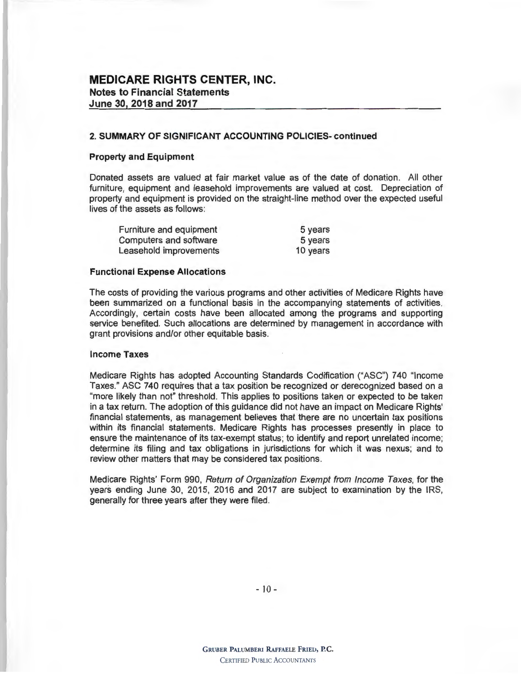# **MEDICARE RIGHTS CENTER, INC.**

**Notes to Financial Statements June 30, 2018 and 2017** 

# **2. SUMMARY OF SIGNIFICANT ACCOUNTING POLICIES- continued**

#### **Property and Equipment**

Donated assets are valued at fair market value as of the date of donation. All other furniture, equipment and leasehold improvements are valued at cost. Depreciation of property and equipment is provided on the straight-line method over the expected useful lives of the assets as follows:

| Furniture and equipment | 5 years  |
|-------------------------|----------|
| Computers and software  | 5 years  |
| Leasehold improvements  | 10 years |

#### **Functional Expense Allocations**

The costs of providing the various programs and other activities of Medicare Rights have been summarized on a functional basis in the accompanying statements of activities. Accordingly, certain costs have been allocated among the programs and supporting service benefited. Such allocations are determined by management in accordance with grant provisions and/or other equitable basis.

#### **Income Taxes**

Medicare Rights has adopted Accounting Standards Codification ("ASC") 740 "Income Taxes." ASC 740 requires that a tax position be recognized or derecognized based on a "more likely than not" threshold. This applies to positions taken or expected to be taken in a tax return. The adoption of this guidance did not have an impact on Medicare Rights' financial statements, as management believes that there are no uncertain tax positions within its financial statements. Medicare Rights has processes presently in place to ensure the maintenance of its tax-exempt status; to identify and report unrelated income; determine its filing and tax obligations in jurisdictions for which it was nexus; and to review other matters that may be considered tax positions.

Medicare Rights' Form 990, Return of Organization Exempt from Income Taxes, for the years ending June 30, 2015, 2016 and 2017 are subject to examination by the IRS, generally for three years after they were filed.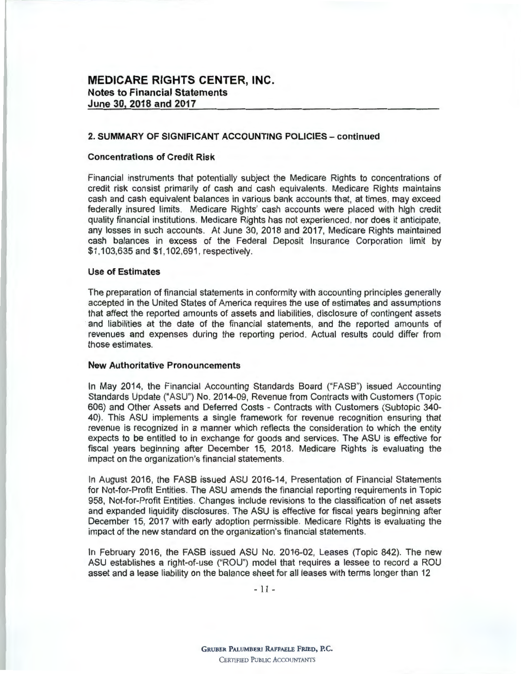# **MEDICARE RIGHTS CENTER, INC.**

**Notes to Financial Statements June 30 2018 and 2017** 

## **2. SUMMARY OF SIGNIFICANT ACCOUNTING POLICIES- continued**

### **Concentrations of Credit Risk**

Financial instruments that potentially subject the Medicare Rights to concentrations of credit risk consist primarily of cash and cash equivalents. Medicare Rights maintains cash and cash equivalent balances in various bank accounts that, at times, may exceed federally insured limits. Medicare Rights' cash accounts were placed with high credit quality financial institutions. Medicare Rights has not experienced, nor does it anticipate, any losses in such accounts. At June 30, 2018 and 2017, Medicare Rights maintained cash balances in excess of the Federal Deposit Insurance Corporation limit by \$1,103,635 and \$1,102,691, respectively.

#### **Use of Estimates**

The preparation of financial statements in conformity with accounting principles generally accepted in the United States of America requires the use of estimates and assumptions that affect the reported amounts of assets and liabilities, disclosure of contingent assets and liabilities at the date of the financial statements, and the reported amounts of revenues and expenses during the reporting period. Actual results could differ from those estimates.

### **New Authoritative Pronouncements**

In May 2014, the Financial Accounting Standards Board ("FASB") issued Accounting Standards Update ("ASU") No. 2014-09, Revenue from Contracts with Customers (Topic 606) and Other Assets and Deferred Costs - Contracts with Customers (Subtopic 340- 40). This ASU implements a single framework for revenue recognition ensuring that revenue is recognized in a manner which reflects the consideration to which the entity expects to be entitled to in exchange for goods and services. The ASU is effective for fiscal years beginning after December 15, 2018. Medicare Rights is evaluating the impact on the organization's financial statements.

In August 2016, the FASB issued ASU 2016-14, Presentation of Financial Statements for Not-for-Profit Entities. The ASU amends the financial reporting requirements in Topic 958, Not-for-Profit Entities. Changes include revisions to the classification of net assets and expanded liquidity disclosures. The ASU is effective for fiscal years beginning after December 15, 2017 with early adoption permissible. Medicare Rights is evaluating the impact of the new standard on the organization's financial statements.

In February 2016, the FASB issued ASU No. 2016-02, Leases (Topic 842). The new ASU establishes a right-of-use (''ROU") model that requires a lessee to record a ROU asset and a lease liability on the balance sheet for all leases with terms longer than 12

- 11 -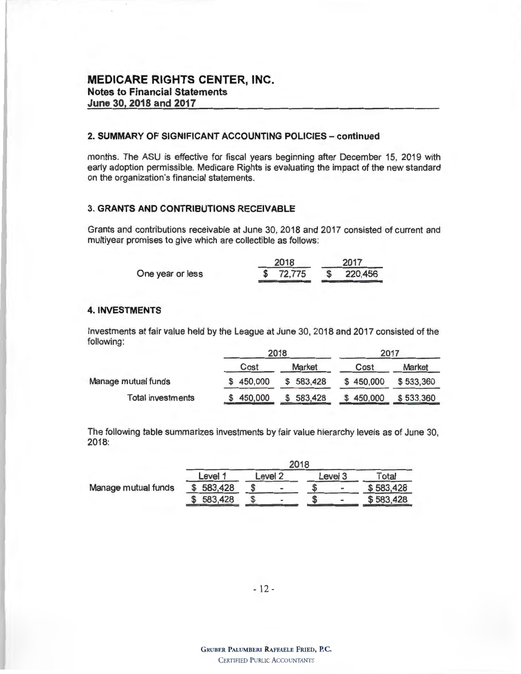# **MEDICARE RIGHTS CENTER, INC. Notes to Financial Statements**

**June 30, 2018 and 2017** 

# **2. SUMMARY OF SIGNIFICANT ACCOUNTING POLICIES- continued**

months. The ASU is effective for fiscal years beginning after December 15, 2019 with early adoption permissible. Medicare Rights is evaluating the impact of the new standard on the organization's financial statements.

### **3. GRANTS AND CONTRIBUTIONS RECEIVABLE**

Grants and contributions receivable at June 30, 2018 and 2017 consisted of current and multiyear promises to give which are collectible as follows:

|                  | 2018     | 2017 |           |  |  |
|------------------|----------|------|-----------|--|--|
| One year or less | \$72,775 |      | \$220,456 |  |  |

# **4. INVESTMENTS**

Investments at fair value held by the League at June 30, 2018 and 2017 consisted of the following:

|                          |         | 2018          | 2017      |               |  |  |
|--------------------------|---------|---------------|-----------|---------------|--|--|
|                          | Cost    | <b>Market</b> | Cost      | <b>Market</b> |  |  |
| Manage mutual funds      | 450,000 | \$583,428     | \$450,000 | \$533,360     |  |  |
| <b>Total investments</b> | 450,000 | \$583,428     | \$450,000 | \$533,360     |  |  |

The following table summarizes investments by fair value hierarchy levels as of June 30, 2018:

|                     | 2018               |                   |                          |           |  |  |  |  |  |  |  |  |
|---------------------|--------------------|-------------------|--------------------------|-----------|--|--|--|--|--|--|--|--|
|                     | Level <sup>4</sup> | ∟evel 2           | Level 3                  | ™otal     |  |  |  |  |  |  |  |  |
| Manage mutual funds | 583,428            | $\equiv$          | $\rightarrow$            | \$583,428 |  |  |  |  |  |  |  |  |
|                     | 583,428<br>---     | ------<br><br>. . | $\overline{\phantom{0}}$ | \$583,428 |  |  |  |  |  |  |  |  |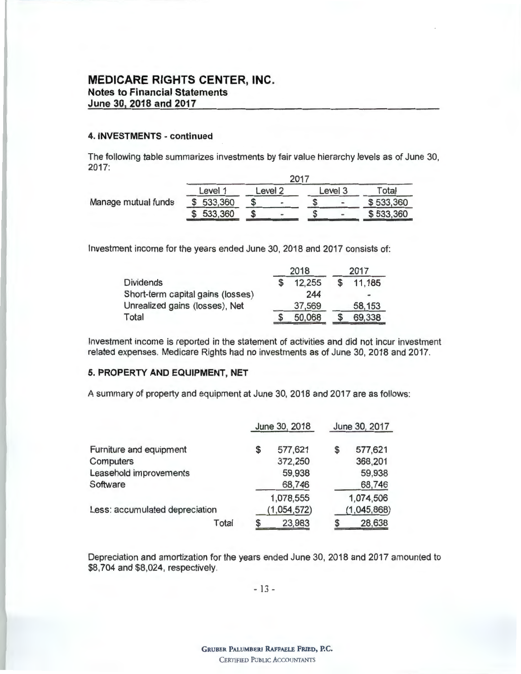# **MEDICARE RIGHTS CENTER, INC. Notes to Financial Statements June 30, 2018 and 2017**

### **4. INVESTMENTS- continued**

The following table summarizes investments by fair value hierarchy levels as of June 30, 2017:

|                     |           |                | 2017 |                |           |
|---------------------|-----------|----------------|------|----------------|-----------|
|                     | Level 1   | Level 2        |      | Level 3        | Total     |
| Manage mutual funds | \$533,360 | $\blacksquare$ |      | $\blacksquare$ | \$533,360 |
|                     | 533,360   | $\overline{a}$ |      | $\blacksquare$ | \$533,360 |

Investment income for the years ended June 30, 2018 and 2017 consists of:

|                                   | 2018   | 2017   |
|-----------------------------------|--------|--------|
| <b>Dividends</b>                  | 12,255 | 11,185 |
| Short-term capital gains (losses) | 244    |        |
| Unrealized gains (losses), Net    | 37,569 | 58,153 |
| Total                             | 50,068 | 69,338 |

Investment income is reported in the statement of activities and did not incur investment related expenses. Medicare Rights had no investments as of June 30, 2018 and 2017.

## **5. PROPERTY AND EQUIPMENT, NET**

A summary of property and equipment at June 30, 2018 and 2017 are as follows:

|                                | June 30, 2018 | June 30, 2017 |
|--------------------------------|---------------|---------------|
| Furniture and equipment        | \$<br>577,621 | \$<br>577,621 |
| Computers                      | 372,250       | 368,201       |
| Leasehold improvements         | 59,938        | 59,938        |
| Software                       | 68,746        | 68,746        |
|                                | 1,078,555     | 1,074,506     |
| Less: accumulated depreciation | (1,054,572)   | (1,045,868)   |
| Total                          | 23,983        | 28,638        |

Depreciation and amortization for the years ended June 30, 2018 and 2017 amounted to \$8,704 and \$8,024, respectively.

- 13 -

GRUBER PALUMBERI RAFFAELE FRIED, P.C. CERTIFIED PUBLIC ACCOUNTANTS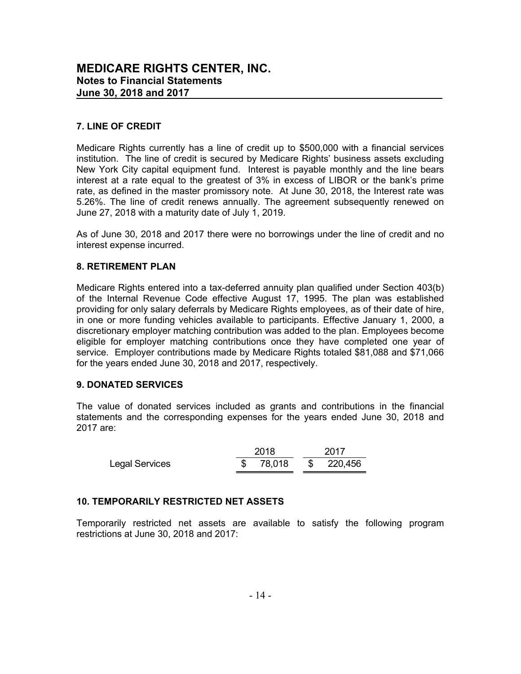# **7. LINE OF CREDIT**

Medicare Rights currently has a line of credit up to \$500,000 with a financial services institution. The line of credit is secured by Medicare Rights' business assets excluding New York City capital equipment fund. Interest is payable monthly and the line bears interest at a rate equal to the greatest of 3% in excess of LIBOR or the bank's prime rate, as defined in the master promissory note. At June 30, 2018, the Interest rate was 5.26%. The line of credit renews annually. The agreement subsequently renewed on June 27, 2018 with a maturity date of July 1, 2019.

As of June 30, 2018 and 2017 there were no borrowings under the line of credit and no interest expense incurred.

# **8. RETIREMENT PLAN**

Medicare Rights entered into a tax-deferred annuity plan qualified under Section 403(b) of the Internal Revenue Code effective August 17, 1995. The plan was established providing for only salary deferrals by Medicare Rights employees, as of their date of hire, in one or more funding vehicles available to participants. Effective January 1, 2000, a discretionary employer matching contribution was added to the plan. Employees become eligible for employer matching contributions once they have completed one year of service. Employer contributions made by Medicare Rights totaled \$81,088 and \$71,066 for the years ended June 30, 2018 and 2017, respectively.

# **9. DONATED SERVICES**

The value of donated services included as grants and contributions in the financial statements and the corresponding expenses for the years ended June 30, 2018 and 2017 are:

|                       | 2018 |        | 2017      |  |  |
|-----------------------|------|--------|-----------|--|--|
| <b>Legal Services</b> |      | 78,018 | \$220,456 |  |  |

# **10. TEMPORARILY RESTRICTED NET ASSETS**

Temporarily restricted net assets are available to satisfy the following program restrictions at June 30, 2018 and 2017: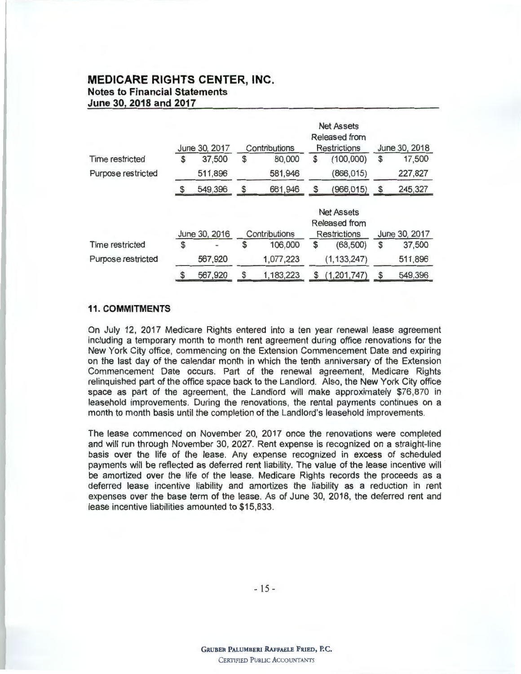# **MEDICARE RIGHTS CENTER, INC.**

#### **Notes to Financial Statements June 30 2018 and 2017**

|                        |    | June 30, 2017 | Contributions   |    | <b>Net Assets</b><br>Released from<br><b>Restrictions</b>        |    | June 30, 2018 |
|------------------------|----|---------------|-----------------|----|------------------------------------------------------------------|----|---------------|
| <b>Time restricted</b> | \$ | 37,500        | \$<br>80,000    | \$ | (100,000)                                                        | \$ | 17,500        |
| Purpose restricted     |    | 511,896       | 581,946         |    | (866, 015)                                                       |    | 227,827       |
|                        | S  | 549,396       | \$<br>661,946   | S  | (966, 015)                                                       | S. | 245,327       |
|                        |    |               | Contributions   |    | <b>Net Assets</b><br><b>Released from</b><br><b>Restrictions</b> |    | June 30, 2017 |
| <b>Time restricted</b> | \$ | June 30, 2016 | \$<br>106,000   | \$ | (68, 500)                                                        | \$ | 37,500        |
| Purpose restricted     |    | 567,920       | 1,077,223       |    | (1, 133, 247)                                                    |    | 511,896       |
|                        |    | 567,920       | \$<br>1,183,223 | S  | (1, 201, 747)                                                    | S  | 549,396       |

# **11. COMMITMENTS**

On July 12, 2017 Medicare Rights entered into a ten year renewal lease agreement including a temporary month to month rent agreement during office renovations for the New York City office, commencing on the Extension Commencement Date and expiring on the last day of the calendar month in which the tenth anniversary of the Extension Commencement Date occurs. Part of the renewal agreement, Medicare Rights relinquished part of the office space back to the Landlord. Also, the New York City office space as part of the agreement, the Landlord will make approximately \$76,870 in leasehold improvements. During the renovations, the rental payments continues on a month to month basis until the completion of the Landlord's leasehold improvements.

The lease commenced on November 20, 2017 once the renovations were completed and will run through November 30, 2027. Rent expense is recognized on a straight-line basis over the life of the lease. Any expense recognized in excess of scheduled payments will be reflected as deferred rent liability. The value of the lease incentive will be amortized over the life of the lease. Medicare Rights records the proceeds as a deferred lease incentive liability and amortizes the liability as a reduction in rent expenses over the base term of the lease. As of June 30, 2018, the deferred rent and lease incentive liabilities amounted to \$15,833.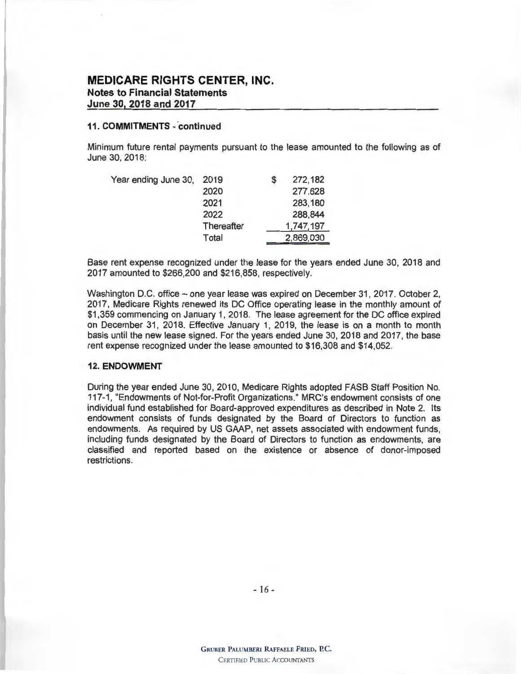# **MEDICARE RIGHTS CENTER, INC. Notes to Financial Statements June 30 2018 and 2017**

#### **11. COMMITMENTS - ·continued**

Minimum future rental payments pursuant to the lease amounted to the following as of June 30, 2018:

| Year ending June 30, | 2019       | S | 272,182   |
|----------------------|------------|---|-----------|
|                      | 2020       |   | 277,628   |
|                      | 2021       |   | 283,180   |
|                      | 2022       |   | 288,844   |
|                      | Thereafter |   | 1,747,197 |
|                      | Total      |   | 2,869,030 |

Base rent expense recognized under the lease for the years ended June 30, 2018 and 2017 amounted to \$266,200 and \$216,858, respectively.

Washington D.C. office - one year lease was expired on December 31, 2017. October 2, 2017, Medicare Rights renewed its DC Office operating lease in the monthly amount of \$1,359 commencing on January 1, 2018. The lease agreement for the DC office expired on December 31 , 2018. Effective January 1, 2019, the lease is on a month to month basis until the new lease signed. For the years ended June 30, 2018 and 2017, the base rent expense recognized under the lease amounted to \$16,308 and \$14,052.

#### **12. ENDOWMENT**

During the year ended June 30, 2010, Medicare Rights adopted FASB Staff Position No. 117-1 , "Endowments of Not-for-Profit Organizations." MRC's endowment consists of one individual fund established for Board-approved expenditures as described in Note 2. Its endowment consists of funds designated by the Board of Directors to function as endowments. As required by US GAAP, net assets associated with endowment funds, including funds designated by the Board of Directors to function as endowments, are classified and reported based on the existence or absence of donor-imposed restrictions.